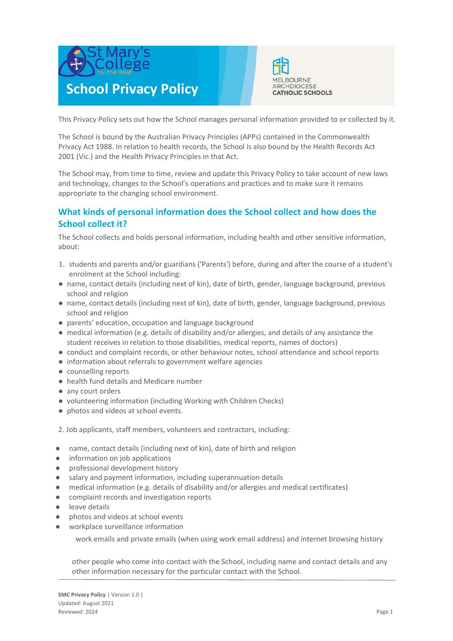



This Privacy Policy sets out how the School manages personal information provided to or collected by it.

The School is bound by the Australian Privacy Principles (APPs) contained in the Commonwealth Privacy Act 1988. In relation to health records, the School is also bound by the Health Records Act 2001 (Vic.) and the Health Privacy Principles in that Act.

The School may, from time to time, review and update this Privacy Policy to take account of new laws and technology, changes to the School's operations and practices and to make sure it remains appropriate to the changing school environment.

# **What kinds of personal information does the School collect and how does the School collect it?**

The School collects and holds personal information, including health and other sensitive information, about:

- 1. students and parents and/or guardians ('Parents') before, during and after the course of a student's enrolment at the School including:
- name, contact details (including next of kin), date of birth, gender, language background, previous school and religion
- name, contact details (including next of kin), date of birth, gender, language background, previous school and religion
- parents' education, occupation and language background
- medical information (e.g. details of disability and/or allergies, and details of any assistance the student receives in relation to those disabilities, medical reports, names of doctors)
- conduct and complaint records, or other behaviour notes, school attendance and school reports
- information about referrals to government welfare agencies
- counselling reports
- health fund details and Medicare number
- any court orders
- volunteering information (including Working with Children Checks)
- photos and videos at school events.

2. Job applicants, staff members, volunteers and contractors, including:

- name, contact details (including next of kin), date of birth and religion
- information on job applications
- professional development history
- salary and payment information, including superannuation details
- medical information (e.g. details of disability and/or allergies and medical certificates)
- complaint records and investigation reports
- leave details
- photos and videos at school events
- workplace surveillance information

work emails and private emails (when using work email address) and internet browsing history

other people who come into contact with the School, including name and contact details and any other information necessary for the particular contact with the School.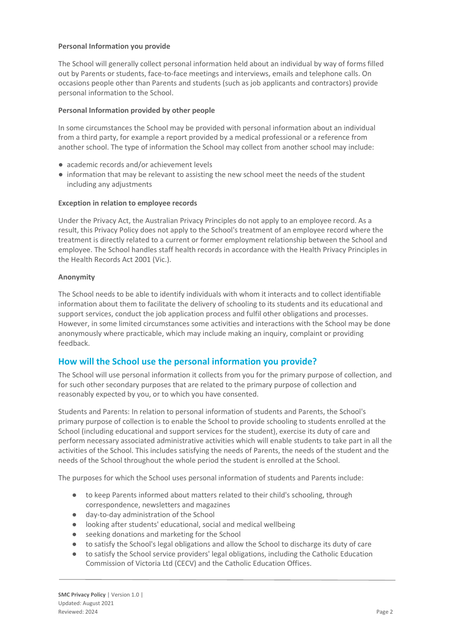## **Personal Information you provide**

The School will generally collect personal information held about an individual by way of forms filled out by Parents or students, face-to-face meetings and interviews, emails and telephone calls. On occasions people other than Parents and students (such as job applicants and contractors) provide personal information to the School.

#### **Personal Information provided by other people**

In some circumstances the School may be provided with personal information about an individual from a third party, for example a report provided by a medical professional or a reference from another school. The type of information the School may collect from another school may include:

- academic records and/or achievement levels
- information that may be relevant to assisting the new school meet the needs of the student including any adjustments

#### **Exception in relation to employee records**

Under the Privacy Act, the Australian Privacy Principles do not apply to an employee record. As a result, this Privacy Policy does not apply to the School's treatment of an employee record where the treatment is directly related to a current or former employment relationship between the School and employee. The School handles staff health records in accordance with the Health Privacy Principles in the Health Records Act 2001 (Vic.).

#### **Anonymity**

The School needs to be able to identify individuals with whom it interacts and to collect identifiable information about them to facilitate the delivery of schooling to its students and its educational and support services, conduct the job application process and fulfil other obligations and processes. However, in some limited circumstances some activities and interactions with the School may be done anonymously where practicable, which may include making an inquiry, complaint or providing feedback.

# **How will the School use the personal information you provide?**

The School will use personal information it collects from you for the primary purpose of collection, and for such other secondary purposes that are related to the primary purpose of collection and reasonably expected by you, or to which you have consented.

Students and Parents: In relation to personal information of students and Parents, the School's primary purpose of collection is to enable the School to provide schooling to students enrolled at the School (including educational and support services for the student), exercise its duty of care and perform necessary associated administrative activities which will enable students to take part in all the activities of the School. This includes satisfying the needs of Parents, the needs of the student and the needs of the School throughout the whole period the student is enrolled at the School.

The purposes for which the School uses personal information of students and Parents include:

- to keep Parents informed about matters related to their child's schooling, through correspondence, newsletters and magazines
- day-to-day administration of the School
- looking after students' educational, social and medical wellbeing
- seeking donations and marketing for the School
- to satisfy the School's legal obligations and allow the School to discharge its duty of care
- to satisfy the School service providers' legal obligations, including the Catholic Education Commission of Victoria Ltd (CECV) and the Catholic Education Offices.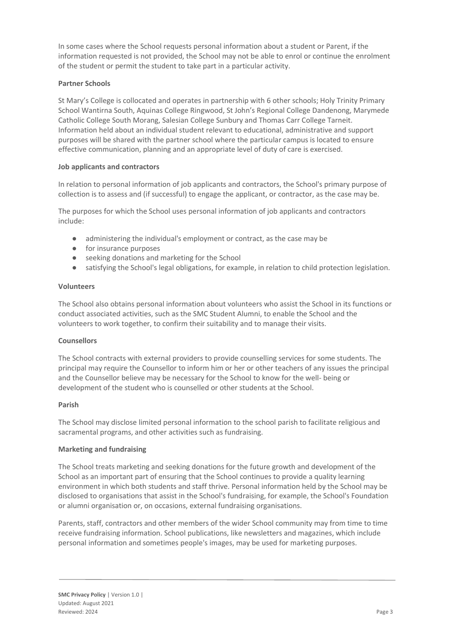In some cases where the School requests personal information about a student or Parent, if the information requested is not provided, the School may not be able to enrol or continue the enrolment of the student or permit the student to take part in a particular activity.

# **Partner Schools**

St Mary's College is collocated and operates in partnership with 6 other schools; Holy Trinity Primary School Wantirna South, Aquinas College Ringwood, St John's Regional College Dandenong, Marymede Catholic College South Morang, Salesian College Sunbury and Thomas Carr College Tarneit. Information held about an individual student relevant to educational, administrative and support purposes will be shared with the partner school where the particular campus is located to ensure effective communication, planning and an appropriate level of duty of care is exercised.

# **Job applicants and contractors**

In relation to personal information of job applicants and contractors, the School's primary purpose of collection is to assess and (if successful) to engage the applicant, or contractor, as the case may be.

The purposes for which the School uses personal information of job applicants and contractors include:

- administering the individual's employment or contract, as the case may be
- for insurance purposes
- seeking donations and marketing for the School
- satisfying the School's legal obligations, for example, in relation to child protection legislation.

## **Volunteers**

The School also obtains personal information about volunteers who assist the School in its functions or conduct associated activities, such as the SMC Student Alumni, to enable the School and the volunteers to work together, to confirm their suitability and to manage their visits.

## **Counsellors**

The School contracts with external providers to provide counselling services for some students. The principal may require the Counsellor to inform him or her or other teachers of any issues the principal and the Counsellor believe may be necessary for the School to know for the well- being or development of the student who is counselled or other students at the School.

## **Parish**

The School may disclose limited personal information to the school parish to facilitate religious and sacramental programs, and other activities such as fundraising.

## **Marketing and fundraising**

The School treats marketing and seeking donations for the future growth and development of the School as an important part of ensuring that the School continues to provide a quality learning environment in which both students and staff thrive. Personal information held by the School may be disclosed to organisations that assist in the School's fundraising, for example, the School's Foundation or alumni organisation or, on occasions, external fundraising organisations.

Parents, staff, contractors and other members of the wider School community may from time to time receive fundraising information. School publications, like newsletters and magazines, which include personal information and sometimes people's images, may be used for marketing purposes.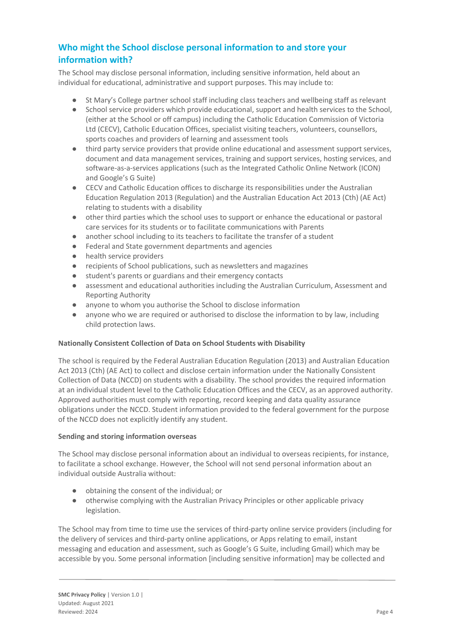# **Who might the School disclose personal information to and store your information with?**

The School may disclose personal information, including sensitive information, held about an individual for educational, administrative and support purposes. This may include to:

- St Mary's College partner school staff including class teachers and wellbeing staff as relevant
- School service providers which provide educational, support and health services to the School, (either at the School or off campus) including the Catholic Education Commission of Victoria Ltd (CECV), Catholic Education Offices, specialist visiting teachers, volunteers, counsellors, sports coaches and providers of learning and assessment tools
- third party service providers that provide online educational and assessment support services, document and data management services, training and support services, hosting services, and software-as-a-services applications (such as the Integrated Catholic Online Network (ICON) and Google's G Suite)
- CECV and Catholic Education offices to discharge its responsibilities under the Australian Education Regulation 2013 (Regulation) and the Australian Education Act 2013 (Cth) (AE Act) relating to students with a disability
- other third parties which the school uses to support or enhance the educational or pastoral care services for its students or to facilitate communications with Parents
- another school including to its teachers to facilitate the transfer of a student
- Federal and State government departments and agencies
- health service providers
- recipients of School publications, such as newsletters and magazines
- student's parents or guardians and their emergency contacts
- assessment and educational authorities including the Australian Curriculum, Assessment and Reporting Authority
- anyone to whom you authorise the School to disclose information
- anyone who we are required or authorised to disclose the information to by law, including child protection laws.

## **Nationally Consistent Collection of Data on School Students with Disability**

The school is required by the Federal Australian Education Regulation (2013) and Australian Education Act 2013 (Cth) (AE Act) to collect and disclose certain information under the Nationally Consistent Collection of Data (NCCD) on students with a disability. The school provides the required information at an individual student level to the Catholic Education Offices and the CECV, as an approved authority. Approved authorities must comply with reporting, record keeping and data quality assurance obligations under the NCCD. Student information provided to the federal government for the purpose of the NCCD does not explicitly identify any student.

## **Sending and storing information overseas**

The School may disclose personal information about an individual to overseas recipients, for instance, to facilitate a school exchange. However, the School will not send personal information about an individual outside Australia without:

- obtaining the consent of the individual; or
- otherwise complying with the Australian Privacy Principles or other applicable privacy legislation.

The School may from time to time use the services of third-party online service providers (including for the delivery of services and third-party online applications, or Apps relating to email, instant messaging and education and assessment, such as Google's G Suite, including Gmail) which may be accessible by you. Some personal information [including sensitive information] may be collected and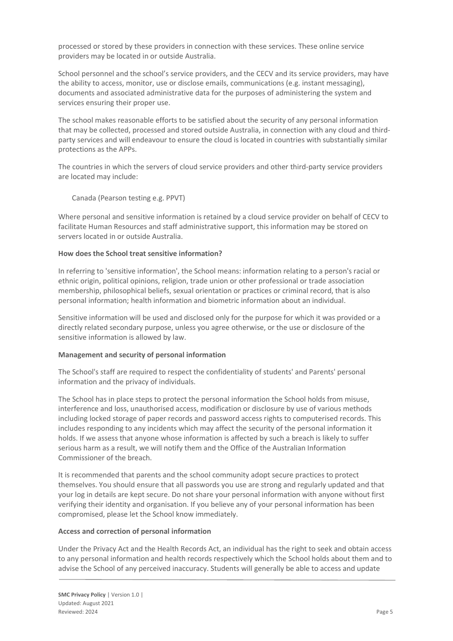processed or stored by these providers in connection with these services. These online service providers may be located in or outside Australia.

School personnel and the school's service providers, and the CECV and its service providers, may have the ability to access, monitor, use or disclose emails, communications (e.g. instant messaging), documents and associated administrative data for the purposes of administering the system and services ensuring their proper use.

The school makes reasonable efforts to be satisfied about the security of any personal information that may be collected, processed and stored outside Australia, in connection with any cloud and thirdparty services and will endeavour to ensure the cloud is located in countries with substantially similar protections as the APPs.

The countries in which the servers of cloud service providers and other third-party service providers are located may include:

Canada (Pearson testing e.g. PPVT)

Where personal and sensitive information is retained by a cloud service provider on behalf of CECV to facilitate Human Resources and staff administrative support, this information may be stored on servers located in or outside Australia.

#### **How does the School treat sensitive information?**

In referring to 'sensitive information', the School means: information relating to a person's racial or ethnic origin, political opinions, religion, trade union or other professional or trade association membership, philosophical beliefs, sexual orientation or practices or criminal record, that is also personal information; health information and biometric information about an individual.

Sensitive information will be used and disclosed only for the purpose for which it was provided or a directly related secondary purpose, unless you agree otherwise, or the use or disclosure of the sensitive information is allowed by law.

#### **Management and security of personal information**

The School's staff are required to respect the confidentiality of students' and Parents' personal information and the privacy of individuals.

The School has in place steps to protect the personal information the School holds from misuse, interference and loss, unauthorised access, modification or disclosure by use of various methods including locked storage of paper records and password access rights to computerised records. This includes responding to any incidents which may affect the security of the personal information it holds. If we assess that anyone whose information is affected by such a breach is likely to suffer serious harm as a result, we will notify them and the Office of the Australian Information Commissioner of the breach.

It is recommended that parents and the school community adopt secure practices to protect themselves. You should ensure that all passwords you use are strong and regularly updated and that your log in details are kept secure. Do not share your personal information with anyone without first verifying their identity and organisation. If you believe any of your personal information has been compromised, please let the School know immediately.

## **Access and correction of personal information**

Under the Privacy Act and the Health Records Act, an individual has the right to seek and obtain access to any personal information and health records respectively which the School holds about them and to advise the School of any perceived inaccuracy. Students will generally be able to access and update